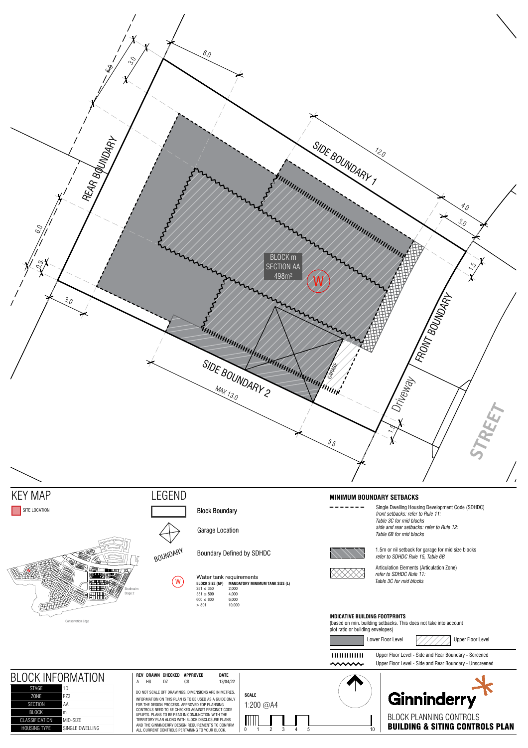